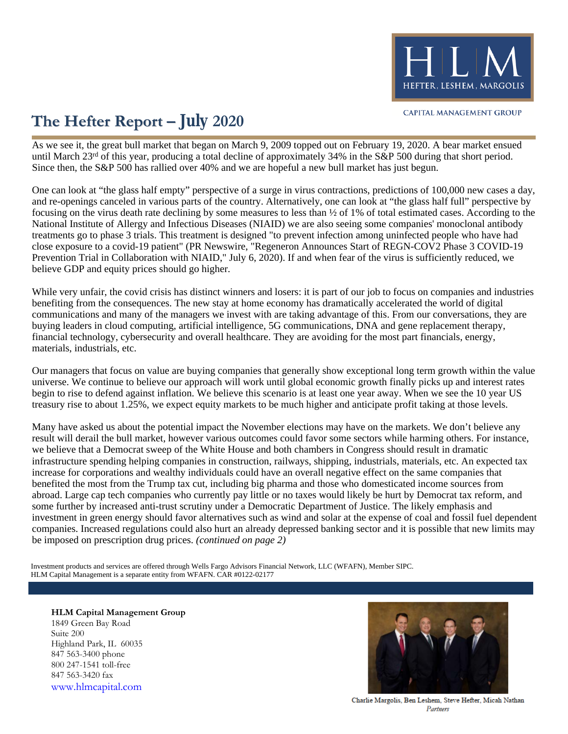

### **The Hefter Report – July 2020**

As we see it, the great bull market that began on March 9, 2009 topped out on February 19, 2020. A bear market ensued until March 23<sup>rd</sup> of this year, producing a total decline of approximately 34% in the S&P 500 during that short period. Since then, the S&P 500 has rallied over 40% and we are hopeful a new bull market has just begun.

One can look at "the glass half empty" perspective of a surge in virus contractions, predictions of 100,000 new cases a day, and re-openings canceled in various parts of the country. Alternatively, one can look at "the glass half full" perspective by focusing on the virus death rate declining by some measures to less than ½ of 1% of total estimated cases. According to the National Institute of Allergy and Infectious Diseases (NIAID) we are also seeing some companies' monoclonal antibody treatments go to phase 3 trials. This treatment is designed "to prevent infection among uninfected people who have had close exposure to a covid-19 patient" (PR Newswire, "Regeneron Announces Start of REGN-COV2 Phase 3 COVID-19 Prevention Trial in Collaboration with NIAID," July 6, 2020). If and when fear of the virus is sufficiently reduced, we believe GDP and equity prices should go higher.

While very unfair, the covid crisis has distinct winners and losers: it is part of our job to focus on companies and industries benefiting from the consequences. The new stay at home economy has dramatically accelerated the world of digital communications and many of the managers we invest with are taking advantage of this. From our conversations, they are buying leaders in cloud computing, artificial intelligence, 5G communications, DNA and gene replacement therapy, financial technology, cybersecurity and overall healthcare. They are avoiding for the most part financials, energy, materials, industrials, etc.

Our managers that focus on value are buying companies that generally show exceptional long term growth within the value universe. We continue to believe our approach will work until global economic growth finally picks up and interest rates begin to rise to defend against inflation. We believe this scenario is at least one year away. When we see the 10 year US treasury rise to about 1.25%, we expect equity markets to be much higher and anticipate profit taking at those levels.

Many have asked us about the potential impact the November elections may have on the markets. We don't believe any result will derail the bull market, however various outcomes could favor some sectors while harming others. For instance, we believe that a Democrat sweep of the White House and both chambers in Congress should result in dramatic infrastructure spending helping companies in construction, railways, shipping, industrials, materials, etc. An expected tax increase for corporations and wealthy individuals could have an overall negative effect on the same companies that benefited the most from the Trump tax cut, including big pharma and those who domesticated income sources from abroad. Large cap tech companies who currently pay little or no taxes would likely be hurt by Democrat tax reform, and some further by increased anti-trust scrutiny under a Democratic Department of Justice. The likely emphasis and investment in green energy should favor alternatives such as wind and solar at the expense of coal and fossil fuel dependent companies. Increased regulations could also hurt an already depressed banking sector and it is possible that new limits may be imposed on prescription drug prices. *(continued on page 2)*

HLM Capital Management is a separate entity from WFAFN. CAR #0122-02177 Investment products and services are offered through Wells Fargo Advisors Financial Network, LLC (WFAFN), Member SIPC.

### **HLM Capital Management Group** 1849 Green Bay Road Suite 200 Highland Park, IL 60035 847 563-3400 phone 800 247-1541 toll-free 847 563-3420 fax [www.hlmcapital.com](http://www.hlmcapital.com/)



Charlie Margolis, Ben Leshem, Steve Hefter, Micah Nathan Partners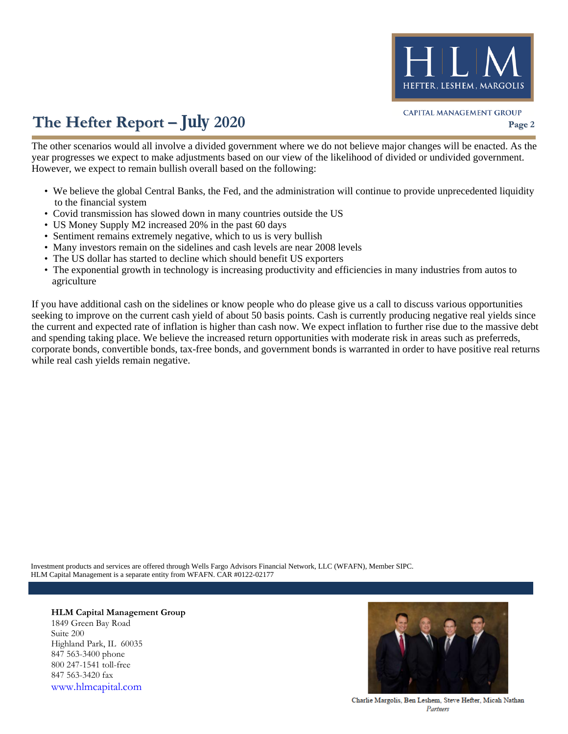

# **The Hefter Report – July 2020 Page 2**

The other scenarios would all involve a divided government where we do not believe major changes will be enacted. As the year progresses we expect to make adjustments based on our view of the likelihood of divided or undivided government. However, we expect to remain bullish overall based on the following:

- We believe the global Central Banks, the Fed, and the administration will continue to provide unprecedented liquidity to the financial system
- Covid transmission has slowed down in many countries outside the US
- US Money Supply M2 increased 20% in the past 60 days
- Sentiment remains extremely negative, which to us is very bullish
- Many investors remain on the sidelines and cash levels are near 2008 levels
- The US dollar has started to decline which should benefit US exporters
- The exponential growth in technology is increasing productivity and efficiencies in many industries from autos to agriculture

If you have additional cash on the sidelines or know people who do please give us a call to discuss various opportunities seeking to improve on the current cash yield of about 50 basis points. Cash is currently producing negative real yields since the current and expected rate of inflation is higher than cash now. We expect inflation to further rise due to the massive debt and spending taking place. We believe the increased return opportunities with moderate risk in areas such as preferreds, corporate bonds, convertible bonds, tax-free bonds, and government bonds is warranted in order to have positive real returns while real cash yields remain negative.

HLM Capital Management is a separate entity from WFAFN. CAR #0122-02177 Investment products and services are offered through Wells Fargo Advisors Financial Network, LLC (WFAFN), Member SIPC.

**HLM Capital Management Group** 1849 Green Bay Road Suite 200 Highland Park, IL 60035 847 563-3400 phone 800 247-1541 toll-free 847 563-3420 fax [www.hlmcapital.com](http://www.hlmcapital.com/)



Charlie Margolis, Ben Leshem, Steve Hefter, Micah Nathan Partners